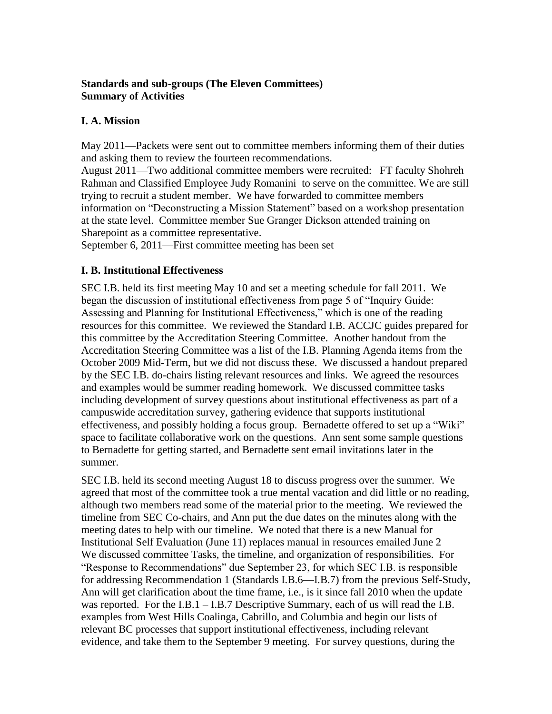### **Standards and sub-groups (The Eleven Committees) Summary of Activities**

## **I. A. Mission**

May 2011—Packets were sent out to committee members informing them of their duties and asking them to review the fourteen recommendations.

August 2011—Two additional committee members were recruited: FT faculty Shohreh Rahman and Classified Employee Judy Romanini to serve on the committee. We are still trying to recruit a student member. We have forwarded to committee members information on "Deconstructing a Mission Statement" based on a workshop presentation at the state level. Committee member Sue Granger Dickson attended training on Sharepoint as a committee representative.

September 6, 2011—First committee meeting has been set

## **I. B. Institutional Effectiveness**

SEC I.B. held its first meeting May 10 and set a meeting schedule for fall 2011. We began the discussion of institutional effectiveness from page 5 of "Inquiry Guide: Assessing and Planning for Institutional Effectiveness," which is one of the reading resources for this committee. We reviewed the Standard I.B. ACCJC guides prepared for this committee by the Accreditation Steering Committee. Another handout from the Accreditation Steering Committee was a list of the I.B. Planning Agenda items from the October 2009 Mid-Term, but we did not discuss these. We discussed a handout prepared by the SEC I.B. do-chairs listing relevant resources and links. We agreed the resources and examples would be summer reading homework. We discussed committee tasks including development of survey questions about institutional effectiveness as part of a campuswide accreditation survey, gathering evidence that supports institutional effectiveness, and possibly holding a focus group. Bernadette offered to set up a "Wiki" space to facilitate collaborative work on the questions. Ann sent some sample questions to Bernadette for getting started, and Bernadette sent email invitations later in the summer.

SEC I.B. held its second meeting August 18 to discuss progress over the summer. We agreed that most of the committee took a true mental vacation and did little or no reading, although two members read some of the material prior to the meeting. We reviewed the timeline from SEC Co-chairs, and Ann put the due dates on the minutes along with the meeting dates to help with our timeline. We noted that there is a new Manual for Institutional Self Evaluation (June 11) replaces manual in resources emailed June 2 We discussed committee Tasks, the timeline, and organization of responsibilities. For "Response to Recommendations" due September 23, for which SEC I.B. is responsible for addressing Recommendation 1 (Standards I.B.6—I.B.7) from the previous Self-Study, Ann will get clarification about the time frame, i.e., is it since fall 2010 when the update was reported. For the I.B.1 – I.B.7 Descriptive Summary, each of us will read the I.B. examples from West Hills Coalinga, Cabrillo, and Columbia and begin our lists of relevant BC processes that support institutional effectiveness, including relevant evidence, and take them to the September 9 meeting. For survey questions, during the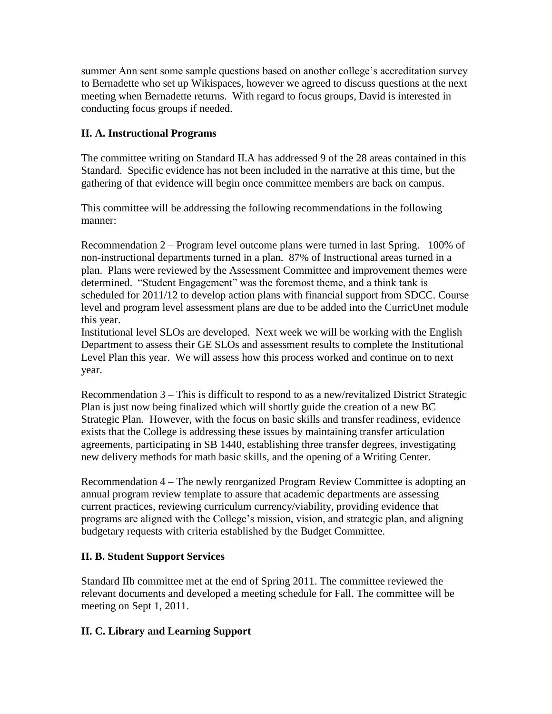summer Ann sent some sample questions based on another college's accreditation survey to Bernadette who set up Wikispaces, however we agreed to discuss questions at the next meeting when Bernadette returns. With regard to focus groups, David is interested in conducting focus groups if needed.

## **II. A. Instructional Programs**

The committee writing on Standard II.A has addressed 9 of the 28 areas contained in this Standard. Specific evidence has not been included in the narrative at this time, but the gathering of that evidence will begin once committee members are back on campus.

This committee will be addressing the following recommendations in the following manner:

Recommendation 2 – Program level outcome plans were turned in last Spring. 100% of non-instructional departments turned in a plan. 87% of Instructional areas turned in a plan. Plans were reviewed by the Assessment Committee and improvement themes were determined. "Student Engagement" was the foremost theme, and a think tank is scheduled for 2011/12 to develop action plans with financial support from SDCC. Course level and program level assessment plans are due to be added into the CurricUnet module this year.

Institutional level SLOs are developed. Next week we will be working with the English Department to assess their GE SLOs and assessment results to complete the Institutional Level Plan this year. We will assess how this process worked and continue on to next year.

Recommendation 3 – This is difficult to respond to as a new/revitalized District Strategic Plan is just now being finalized which will shortly guide the creation of a new BC Strategic Plan. However, with the focus on basic skills and transfer readiness, evidence exists that the College is addressing these issues by maintaining transfer articulation agreements, participating in SB 1440, establishing three transfer degrees, investigating new delivery methods for math basic skills, and the opening of a Writing Center.

Recommendation 4 – The newly reorganized Program Review Committee is adopting an annual program review template to assure that academic departments are assessing current practices, reviewing curriculum currency/viability, providing evidence that programs are aligned with the College's mission, vision, and strategic plan, and aligning budgetary requests with criteria established by the Budget Committee.

# **II. B. Student Support Services**

Standard IIb committee met at the end of Spring 2011. The committee reviewed the relevant documents and developed a meeting schedule for Fall. The committee will be meeting on Sept 1, 2011.

### **II. C. Library and Learning Support**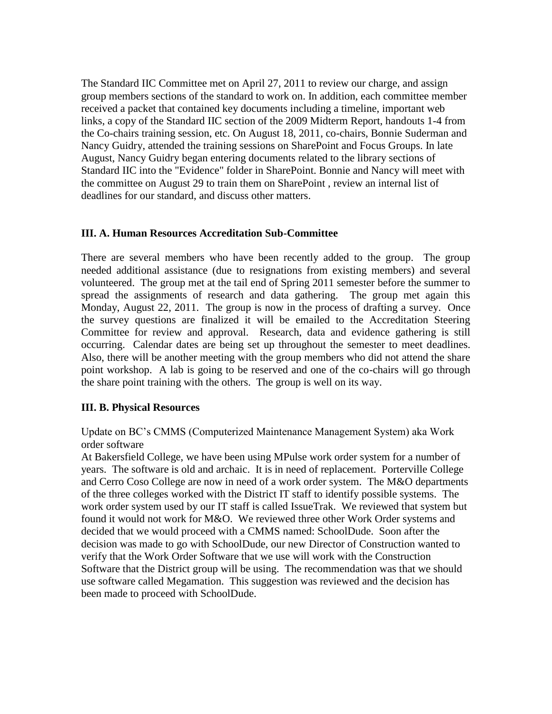The Standard IIC Committee met on April 27, 2011 to review our charge, and assign group members sections of the standard to work on. In addition, each committee member received a packet that contained key documents including a timeline, important web links, a copy of the Standard IIC section of the 2009 Midterm Report, handouts 1-4 from the Co-chairs training session, etc. On August 18, 2011, co-chairs, Bonnie Suderman and Nancy Guidry, attended the training sessions on SharePoint and Focus Groups. In late August, Nancy Guidry began entering documents related to the library sections of Standard IIC into the "Evidence" folder in SharePoint. Bonnie and Nancy will meet with the committee on August 29 to train them on SharePoint , review an internal list of deadlines for our standard, and discuss other matters.

#### **III. A. Human Resources Accreditation Sub-Committee**

There are several members who have been recently added to the group. The group needed additional assistance (due to resignations from existing members) and several volunteered. The group met at the tail end of Spring 2011 semester before the summer to spread the assignments of research and data gathering. The group met again this Monday, August 22, 2011. The group is now in the process of drafting a survey. Once the survey questions are finalized it will be emailed to the Accreditation Steering Committee for review and approval. Research, data and evidence gathering is still occurring. Calendar dates are being set up throughout the semester to meet deadlines. Also, there will be another meeting with the group members who did not attend the share point workshop. A lab is going to be reserved and one of the co-chairs will go through the share point training with the others. The group is well on its way.

#### **III. B. Physical Resources**

Update on BC's CMMS (Computerized Maintenance Management System) aka Work order software

At Bakersfield College, we have been using MPulse work order system for a number of years. The software is old and archaic. It is in need of replacement. Porterville College and Cerro Coso College are now in need of a work order system. The M&O departments of the three colleges worked with the District IT staff to identify possible systems. The work order system used by our IT staff is called IssueTrak. We reviewed that system but found it would not work for M&O. We reviewed three other Work Order systems and decided that we would proceed with a CMMS named: SchoolDude. Soon after the decision was made to go with SchoolDude, our new Director of Construction wanted to verify that the Work Order Software that we use will work with the Construction Software that the District group will be using. The recommendation was that we should use software called Megamation. This suggestion was reviewed and the decision has been made to proceed with SchoolDude.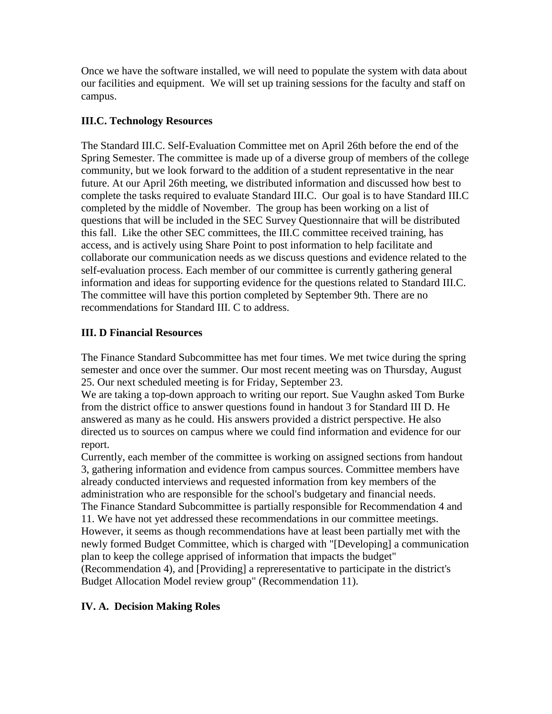Once we have the software installed, we will need to populate the system with data about our facilities and equipment. We will set up training sessions for the faculty and staff on campus.

### **III.C. Technology Resources**

The Standard III.C. Self-Evaluation Committee met on April 26th before the end of the Spring Semester. The committee is made up of a diverse group of members of the college community, but we look forward to the addition of a student representative in the near future. At our April 26th meeting, we distributed information and discussed how best to complete the tasks required to evaluate Standard III.C. Our goal is to have Standard III.C completed by the middle of November. The group has been working on a list of questions that will be included in the SEC Survey Questionnaire that will be distributed this fall. Like the other SEC committees, the III.C committee received training, has access, and is actively using Share Point to post information to help facilitate and collaborate our communication needs as we discuss questions and evidence related to the self-evaluation process. Each member of our committee is currently gathering general information and ideas for supporting evidence for the questions related to Standard III.C. The committee will have this portion completed by September 9th. There are no recommendations for Standard III. C to address.

### **III. D Financial Resources**

The Finance Standard Subcommittee has met four times. We met twice during the spring semester and once over the summer. Our most recent meeting was on Thursday, August 25. Our next scheduled meeting is for Friday, September 23.

We are taking a top-down approach to writing our report. Sue Vaughn asked Tom Burke from the district office to answer questions found in handout 3 for Standard III D. He answered as many as he could. His answers provided a district perspective. He also directed us to sources on campus where we could find information and evidence for our report.

Currently, each member of the committee is working on assigned sections from handout 3, gathering information and evidence from campus sources. Committee members have already conducted interviews and requested information from key members of the administration who are responsible for the school's budgetary and financial needs. The Finance Standard Subcommittee is partially responsible for Recommendation 4 and 11. We have not yet addressed these recommendations in our committee meetings. However, it seems as though recommendations have at least been partially met with the newly formed Budget Committee, which is charged with "[Developing] a communication plan to keep the college apprised of information that impacts the budget" (Recommendation 4), and [Providing] a repreresentative to participate in the district's Budget Allocation Model review group" (Recommendation 11).

### **IV. A. Decision Making Roles**